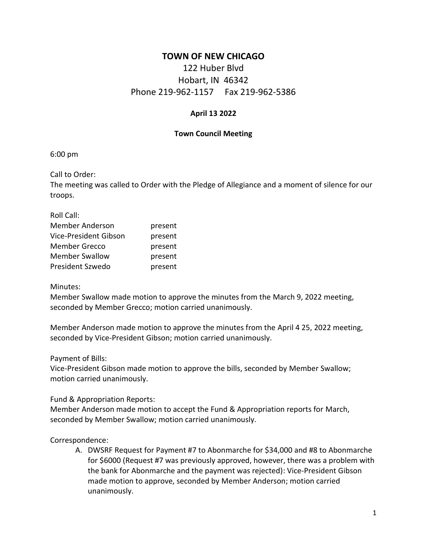## **TOWN OF NEW CHICAGO**

# 122 Huber Blvd Hobart, IN 46342 Phone 219-962-1157 Fax 219-962-5386

#### **April 13 2022**

#### **Town Council Meeting**

6:00 pm

Call to Order:

The meeting was called to Order with the Pledge of Allegiance and a moment of silence for our troops.

Roll Call: Member Anderson **present** Vice-President Gibson present Member Grecco **present** Member Swallow present President Szwedo present

#### Minutes:

Member Swallow made motion to approve the minutes from the March 9, 2022 meeting, seconded by Member Grecco; motion carried unanimously.

Member Anderson made motion to approve the minutes from the April 4 25, 2022 meeting, seconded by Vice-President Gibson; motion carried unanimously.

Payment of Bills:

Vice-President Gibson made motion to approve the bills, seconded by Member Swallow; motion carried unanimously.

Fund & Appropriation Reports:

Member Anderson made motion to accept the Fund & Appropriation reports for March, seconded by Member Swallow; motion carried unanimously.

#### Correspondence:

A. DWSRF Request for Payment #7 to Abonmarche for \$34,000 and #8 to Abonmarche for \$6000 (Request #7 was previously approved, however, there was a problem with the bank for Abonmarche and the payment was rejected): Vice-President Gibson made motion to approve, seconded by Member Anderson; motion carried unanimously.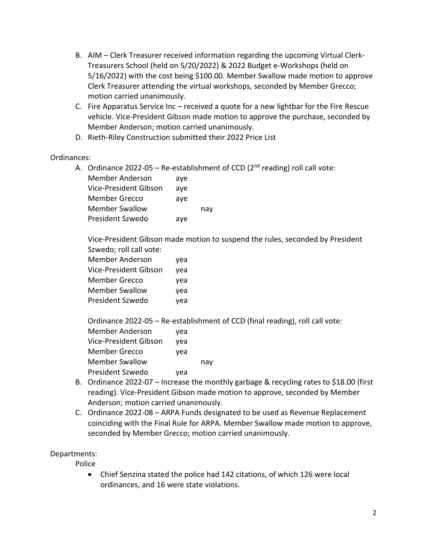- B. AIM Clerk Treasurer received information regarding the upcoming Virtual Clerk-Treasurers School (held on 5/20/2022) & 2022 Budget e-Workshops (held on 5/16/2022) with the cost being \$100.00. Member Swallow made motion to approve Clerk Treasurer attending the virtual workshops, seconded by Member Grecco; motion carried unanimously.
- C. Fire Apparatus Service Inc received a quote for a new lightbar for the Fire Rescue vehicle. Vice-President Gibson made motion to approve the purchase, seconded by Member Anderson; motion carried unanimously.
- D. Rieth-Riley Construction submitted their 2022 Price List

#### Ordinances:

A. Ordinance 2022-05 – Re-establishment of CCD ( $2<sup>nd</sup>$  reading) roll call vote:

| <b>Member Anderson</b> | aye |     |
|------------------------|-----|-----|
| Vice-President Gibson  | aye |     |
| <b>Member Grecco</b>   | aye |     |
| <b>Member Swallow</b>  |     | nav |
| President Szwedo       | aye |     |

Vice-President Gibson made motion to suspend the rules, seconded by President Szwedo; roll call vote:

| <b>Member Anderson</b> |     |
|------------------------|-----|
|                        | yea |
| Vice-President Gibson  | yea |
| <b>Member Grecco</b>   | yea |
| <b>Member Swallow</b>  | vea |
| President Szwedo       | yea |

Ordinance 2022-05 – Re-establishment of CCD (final reading), roll call vote:

| <b>Member Anderson</b> | yea |     |
|------------------------|-----|-----|
| Vice-President Gibson  | yea |     |
| <b>Member Grecco</b>   | yea |     |
| <b>Member Swallow</b>  |     | nay |
| President Szwedo       | yea |     |
|                        |     |     |

- B. Ordinance 2022-07 Increase the monthly garbage & recycling rates to \$18.00 (first reading). Vice-President Gibson made motion to approve, seconded by Member Anderson; motion carried unanimously.
- C. Ordinance 2022-08 ARPA Funds designated to be used as Revenue Replacement coinciding with the Final Rule for ARPA. Member Swallow made motion to approve, seconded by Member Grecco; motion carried unanimously.

## Departments:

Police

• Chief Senzina stated the police had 142 citations, of which 126 were local ordinances, and 16 were state violations.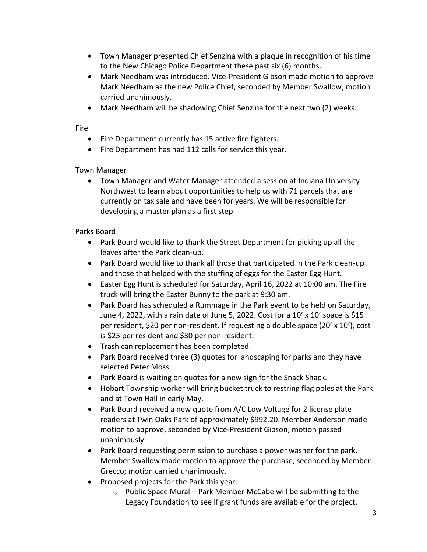- Town Manager presented Chief Senzina with a plaque in recognition of his time to the New Chicago Police Department these past six (6) months.
- Mark Needham was introduced. Vice-President Gibson made motion to approve Mark Needham as the new Police Chief, seconded by Member Swallow; motion carried unanimously.
- Mark Needham will be shadowing Chief Senzina for the next two (2) weeks.

#### Fire

- Fire Department currently has 15 active fire fighters.
- Fire Department has had 112 calls for service this year.

## Town Manager

• Town Manager and Water Manager attended a session at Indiana University Northwest to learn about opportunities to help us with 71 parcels that are currently on tax sale and have been for years. We will be responsible for developing a master plan as a first step.

## Parks Board:

- Park Board would like to thank the Street Department for picking up all the leaves after the Park clean-up.
- Park Board would like to thank all those that participated in the Park clean-up and those that helped with the stuffing of eggs for the Easter Egg Hunt.
- Easter Egg Hunt is scheduled for Saturday, April 16, 2022 at 10:00 am. The Fire truck will bring the Easter Bunny to the park at 9:30 am.
- Park Board has scheduled a Rummage in the Park event to be held on Saturday, June 4, 2022, with a rain date of June 5, 2022. Cost for a 10' x 10' space is \$15 per resident, \$20 per non-resident. If requesting a double space (20' x 10'), cost is \$25 per resident and \$30 per non-resident.
- Trash can replacement has been completed.
- Park Board received three (3) quotes for landscaping for parks and they have selected Peter Moss.
- Park Board is waiting on quotes for a new sign for the Snack Shack.
- Hobart Township worker will bring bucket truck to restring flag poles at the Park and at Town Hall in early May.
- Park Board received a new quote from A/C Low Voltage for 2 license plate readers at Twin Oaks Park of approximately \$992.20. Member Anderson made motion to approve, seconded by Vice-President Gibson; motion passed unanimously.
- Park Board requesting permission to purchase a power washer for the park. Member Swallow made motion to approve the purchase, seconded by Member Grecco; motion carried unanimously.
- Proposed projects for the Park this year:
	- o Public Space Mural Park Member McCabe will be submitting to the Legacy Foundation to see if grant funds are available for the project.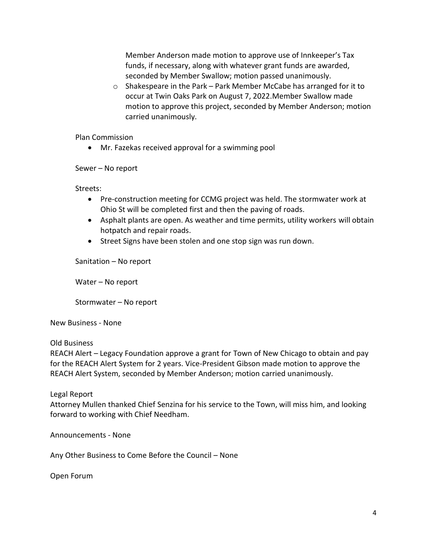Member Anderson made motion to approve use of Innkeeper's Tax funds, if necessary, along with whatever grant funds are awarded, seconded by Member Swallow; motion passed unanimously.

o Shakespeare in the Park – Park Member McCabe has arranged for it to occur at Twin Oaks Park on August 7, 2022.Member Swallow made motion to approve this project, seconded by Member Anderson; motion carried unanimously.

Plan Commission

• Mr. Fazekas received approval for a swimming pool

Sewer – No report

Streets:

- Pre-construction meeting for CCMG project was held. The stormwater work at Ohio St will be completed first and then the paving of roads.
- Asphalt plants are open. As weather and time permits, utility workers will obtain hotpatch and repair roads.
- Street Signs have been stolen and one stop sign was run down.

Sanitation – No report

Water – No report

Stormwater – No report

New Business - None

#### Old Business

REACH Alert – Legacy Foundation approve a grant for Town of New Chicago to obtain and pay for the REACH Alert System for 2 years. Vice-President Gibson made motion to approve the REACH Alert System, seconded by Member Anderson; motion carried unanimously.

Legal Report

Attorney Mullen thanked Chief Senzina for his service to the Town, will miss him, and looking forward to working with Chief Needham.

Announcements - None

Any Other Business to Come Before the Council – None

Open Forum